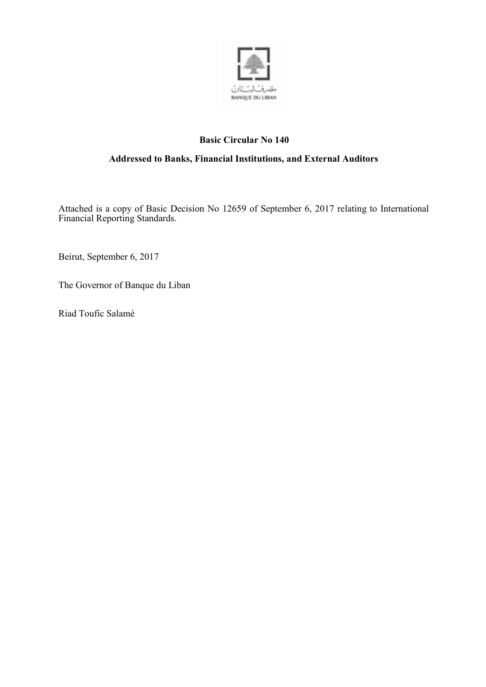

# **Basic Circular No 140**

## **Addressed to Banks, Financial Institutions, and External Auditors**

Attached is a copy of Basic Decision No 12659 of September 6, 2017 relating to International Financial Reporting Standards.

Beirut, September 6, 2017

The Governor of Banque du Liban

Riad Toufic Salamé